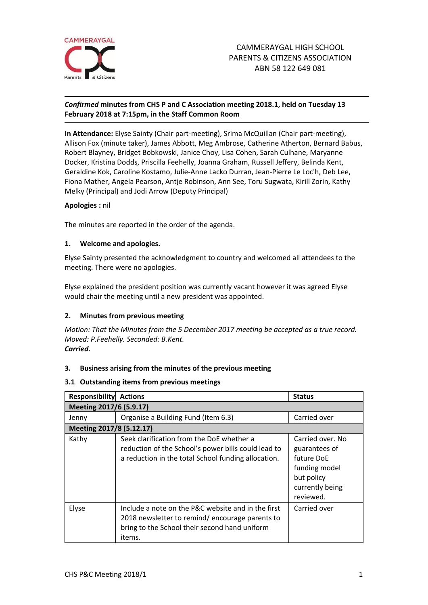

## *Confirmed* **minutes from CHS P and C Association meeting 2018.1, held on Tuesday 13 February 2018 at 7:15pm, in the Staff Common Room**

**In Attendance:** Elyse Sainty (Chair part-meeting), Srima McQuillan (Chair part-meeting), Allison Fox (minute taker), James Abbott, Meg Ambrose, Catherine Atherton, Bernard Babus, Robert Blayney, Bridget Bobkowski, Janice Choy, Lisa Cohen, Sarah Culhane, Maryanne Docker, Kristina Dodds, Priscilla Feehelly, Joanna Graham, Russell Jeffery, Belinda Kent, Geraldine Kok, Caroline Kostamo, Julie-Anne Lacko Durran, Jean-Pierre Le Loc'h, Deb Lee, Fiona Mather, Angela Pearson, Antje Robinson, Ann See, Toru Sugwata, Kirill Zorin, Kathy Melky (Principal) and Jodi Arrow (Deputy Principal)

## **Apologies :** nil

The minutes are reported in the order of the agenda.

## **1. Welcome and apologies.**

Elyse Sainty presented the acknowledgment to country and welcomed all attendees to the meeting. There were no apologies.

Elyse explained the president position was currently vacant however it was agreed Elyse would chair the meeting until a new president was appointed.

#### **2. Minutes from previous meeting**

*Motion: That the Minutes from the 5 December 2017 meeting be accepted as a true record. Moved: P.Feehelly. Seconded: B.Kent. Carried.*

# **3. Business arising from the minutes of the previous meeting**

#### **3.1 Outstanding items from previous meetings**

| Responsibility           | <b>Actions</b>                                                                                                                                                  | <b>Status</b>                                                                                                  |  |  |  |
|--------------------------|-----------------------------------------------------------------------------------------------------------------------------------------------------------------|----------------------------------------------------------------------------------------------------------------|--|--|--|
| Meeting 2017/6 (5.9.17)  |                                                                                                                                                                 |                                                                                                                |  |  |  |
| Jenny                    | Organise a Building Fund (Item 6.3)                                                                                                                             | Carried over                                                                                                   |  |  |  |
| Meeting 2017/8 (5.12.17) |                                                                                                                                                                 |                                                                                                                |  |  |  |
| Kathy                    | Seek clarification from the DoE whether a<br>reduction of the School's power bills could lead to<br>a reduction in the total School funding allocation.         | Carried over, No<br>guarantees of<br>future DoE<br>funding model<br>but policy<br>currently being<br>reviewed. |  |  |  |
| Elyse                    | Include a note on the P&C website and in the first<br>2018 newsletter to remind/encourage parents to<br>bring to the School their second hand uniform<br>items. | Carried over                                                                                                   |  |  |  |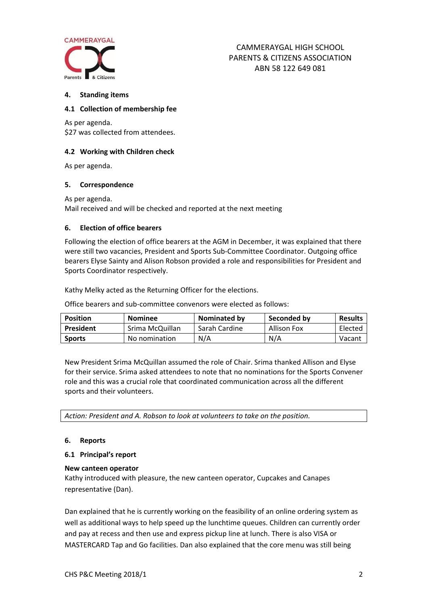

#### **4. Standing items**

#### **4.1 Collection of membership fee**

As per agenda. \$27 was collected from attendees.

#### **4.2 Working with Children check**

As per agenda.

#### **5. Correspondence**

As per agenda.

Mail received and will be checked and reported at the next meeting

#### **6. Election of office bearers**

Following the election of office bearers at the AGM in December, it was explained that there were still two vacancies, President and Sports Sub-Committee Coordinator. Outgoing office bearers Elyse Sainty and Alison Robson provided a role and responsibilities for President and Sports Coordinator respectively.

Kathy Melky acted as the Returning Officer for the elections.

Office bearers and sub-committee convenors were elected as follows:

| <b>Position</b> | <b>Nominee</b>  | <b>Nominated by</b> | Seconded by        | <b>Results</b> |
|-----------------|-----------------|---------------------|--------------------|----------------|
| President       | Srima McQuillan | Sarah Cardine       | <b>Allison Fox</b> | Elected        |
| <b>Sports</b>   | No nomination   | N/A                 | N/A                | Vacant         |

New President Srima McQuillan assumed the role of Chair. Srima thanked Allison and Elyse for their service. Srima asked attendees to note that no nominations for the Sports Convener role and this was a crucial role that coordinated communication across all the different sports and their volunteers.

*Action: President and A. Robson to look at volunteers to take on the position.*

#### **6. Reports**

#### **6.1 Principal's report**

#### **New canteen operator**

Kathy introduced with pleasure, the new canteen operator, Cupcakes and Canapes representative (Dan).

Dan explained that he is currently working on the feasibility of an online ordering system as well as additional ways to help speed up the lunchtime queues. Children can currently order and pay at recess and then use and express pickup line at lunch. There is also VISA or MASTERCARD Tap and Go facilities. Dan also explained that the core menu was still being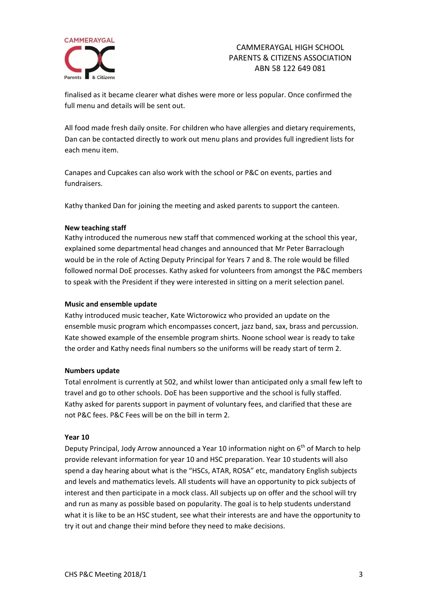

# CAMMERAYGAL HIGH SCHOOL PARENTS & CITIZENS ASSOCIATION ABN 58 122 649 081

finalised as it became clearer what dishes were more or less popular. Once confirmed the full menu and details will be sent out.

All food made fresh daily onsite. For children who have allergies and dietary requirements, Dan can be contacted directly to work out menu plans and provides full ingredient lists for each menu item.

Canapes and Cupcakes can also work with the school or P&C on events, parties and fundraisers.

Kathy thanked Dan for joining the meeting and asked parents to support the canteen.

## **New teaching staff**

Kathy introduced the numerous new staff that commenced working at the school this year, explained some departmental head changes and announced that Mr Peter Barraclough would be in the role of Acting Deputy Principal for Years 7 and 8. The role would be filled followed normal DoE processes. Kathy asked for volunteers from amongst the P&C members to speak with the President if they were interested in sitting on a merit selection panel.

#### **Music and ensemble update**

Kathy introduced music teacher, Kate Wictorowicz who provided an update on the ensemble music program which encompasses concert, jazz band, sax, brass and percussion. Kate showed example of the ensemble program shirts. Noone school wear is ready to take the order and Kathy needs final numbers so the uniforms will be ready start of term 2.

#### **Numbers update**

Total enrolment is currently at 502, and whilst lower than anticipated only a small few left to travel and go to other schools. DoE has been supportive and the school is fully staffed. Kathy asked for parents support in payment of voluntary fees, and clarified that these are not P&C fees. P&C Fees will be on the bill in term 2.

#### **Year 10**

Deputy Principal, Jody Arrow announced a Year 10 information night on 6<sup>th</sup> of March to help provide relevant information for year 10 and HSC preparation. Year 10 students will also spend a day hearing about what is the "HSCs, ATAR, ROSA" etc, mandatory English subjects and levels and mathematics levels. All students will have an opportunity to pick subjects of interest and then participate in a mock class. All subjects up on offer and the school will try and run as many as possible based on popularity. The goal is to help students understand what it is like to be an HSC student, see what their interests are and have the opportunity to try it out and change their mind before they need to make decisions.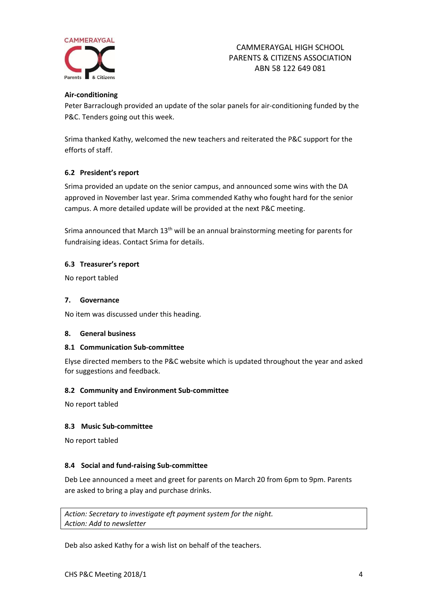

# CAMMERAYGAL HIGH SCHOOL PARENTS & CITIZENS ASSOCIATION ABN 58 122 649 081

# **Air-conditioning**

Peter Barraclough provided an update of the solar panels for air-conditioning funded by the P&C. Tenders going out this week.

Srima thanked Kathy, welcomed the new teachers and reiterated the P&C support for the efforts of staff.

## **6.2 President's report**

Srima provided an update on the senior campus, and announced some wins with the DA approved in November last year. Srima commended Kathy who fought hard for the senior campus. A more detailed update will be provided at the next P&C meeting.

Srima announced that March 13<sup>th</sup> will be an annual brainstorming meeting for parents for fundraising ideas. Contact Srima for details.

## **6.3 Treasurer's report**

No report tabled

#### **7. Governance**

No item was discussed under this heading.

#### **8. General business**

#### **8.1 Communication Sub-committee**

Elyse directed members to the P&C website which is updated throughout the year and asked for suggestions and feedback.

#### **8.2 Community and Environment Sub-committee**

No report tabled

#### **8.3 Music Sub-committee**

No report tabled

#### **8.4 Social and fund-raising Sub-committee**

Deb Lee announced a meet and greet for parents on March 20 from 6pm to 9pm. Parents are asked to bring a play and purchase drinks.

*Action: Secretary to investigate eft payment system for the night. Action: Add to newsletter*

Deb also asked Kathy for a wish list on behalf of the teachers.